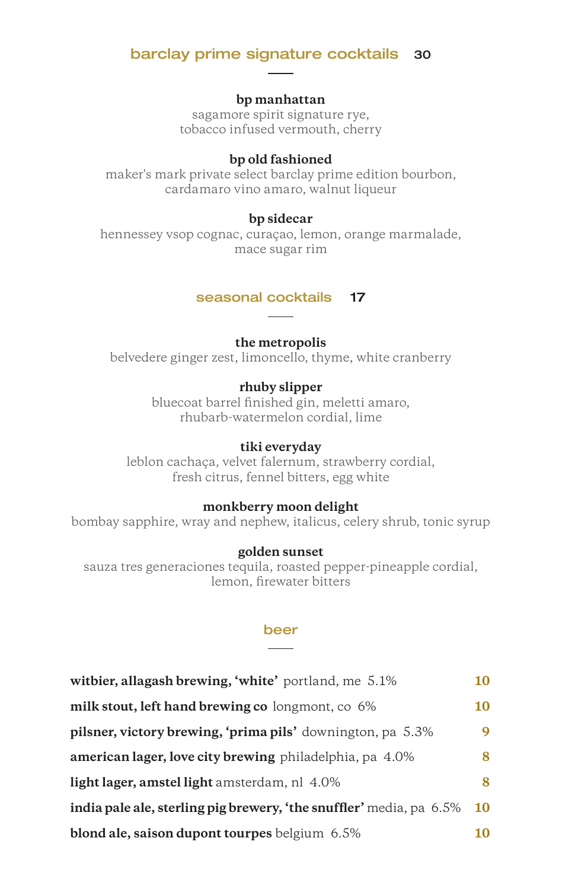## barclay prime signature cocktails 30

#### **bp manhattan**

sagamore spirit signature rye, tobacco infused vermouth, cherry

#### **bp old fashioned**

maker's mark private select barclay prime edition bourbon, cardamaro vino amaro, walnut liqueur

## **bp sidecar**

hennessey vsop cognac, curaçao, lemon, orange marmalade, mace sugar rim

#### seasonal cocktails 17

#### **the metropolis**

belvedere ginger zest, limoncello, thyme, white cranberry

### **rhuby slipper**

bluecoat barrel finished gin, meletti amaro, rhubarb-watermelon cordial, lime

### **tiki everyday**

leblon cachaça, velvet falernum, strawberry cordial, fresh citrus, fennel bitters, egg white

#### **monkberry moon delight**

bombay sapphire, wray and nephew, italicus, celery shrub, tonic syrup

## **golden sunset**

sauza tres generaciones tequila, roasted pepper-pineapple cordial, lemon, firewater bitters

#### beer

| witbier, allagash brewing, 'white' portland, me 5.1%                | 10        |
|---------------------------------------------------------------------|-----------|
| milk stout, left hand brewing co longmont, co 6%                    | 10        |
| pilsner, victory brewing, 'prima pils' downington, pa 5.3%          | 9         |
| american lager, love city brewing philadelphia, pa 4.0%             | 8         |
| light lager, amstel light amsterdam, nl 4.0%                        | 8         |
| india pale ale, sterling pig brewery, 'the snuffler' media, pa 6.5% | <b>10</b> |
| blond ale, saison dupont tourpes belgium 6.5%                       | 10        |